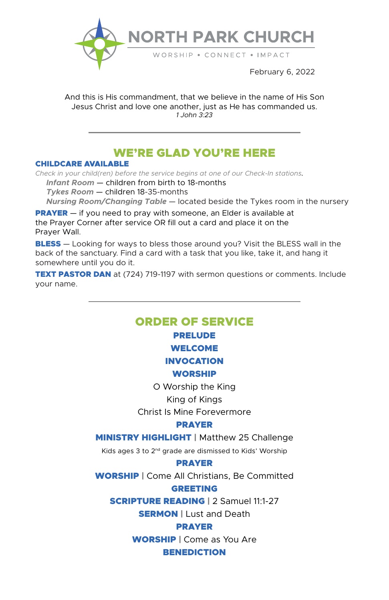

February 6, 2022

And this is His commandment, that we believe in the name of His Son Jesus Christ and love one another, just as He has commanded us. *1 John 3:23*

# WE'RE GLAD YOU'RE HERE

### CHILDCARE AVAILABLE

*Check in your child(ren) before the service begins at one of our Check-In stations.*

 *Infant Room* — children from birth to 18-months

 *Tykes Room* — children 18-35-months

 *Nursing Room/Changing Table* — located beside the Tykes room in the nursery

**PRAYER** — if you need to pray with someone, an Elder is available at the Prayer Corner after service OR fill out a card and place it on the Prayer Wall.

**BLESS** — Looking for ways to bless those around you? Visit the BLESS wall in the back of the sanctuary. Find a card with a task that you like, take it, and hang it somewhere until you do it.

**TEXT PASTOR DAN** at (724) 719-1197 with sermon questions or comments. Include your name.

# ORDER OF SERVICE

## PRELUDE WELCOME

# INVOCATION

### WORSHIP

O Worship the King

### King of Kings

Christ Is Mine Forevermore

### PRAYER

**MINISTRY HIGHLIGHT | Matthew 25 Challenge** 

Kids ages 3 to 2nd grade are dismissed to Kids' Worship

### PRAYER

WORSHIP | Come All Christians, Be Committed

### GREETING

SCRIPTURE READING | 2 Samuel 11:1-27

**SERMON | Lust and Death** 

### PRAYER

**WORSHIP** | Come as You Are **BENEDICTION**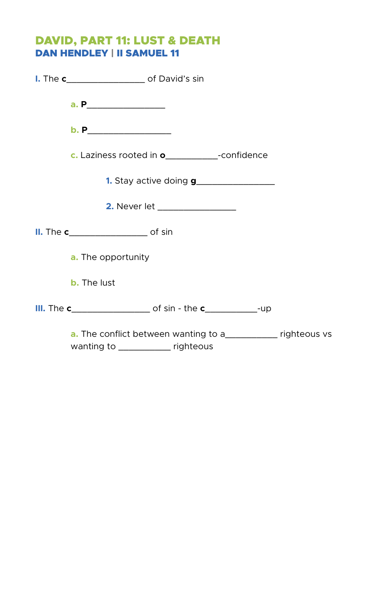# DAVID, PART 11: LUST & DEATH DAN HENDLEY | II SAMUEL 11

| <b>I.</b> The <b>c__________________</b> of David's sin                                                      |  |
|--------------------------------------------------------------------------------------------------------------|--|
|                                                                                                              |  |
| b. P___________________                                                                                      |  |
| c. Laziness rooted in <b>o</b> ______________-confidence                                                     |  |
| <b>1.</b> Stay active doing <b>g</b> _____________________                                                   |  |
| 2. Never let ________________                                                                                |  |
| II. The c______________________ of sin                                                                       |  |
| <b>a.</b> The opportunity                                                                                    |  |
| <b>b.</b> The lust                                                                                           |  |
|                                                                                                              |  |
| <b>a.</b> The conflict between wanting to a_____________ righteous vs<br>wanting to ______________ righteous |  |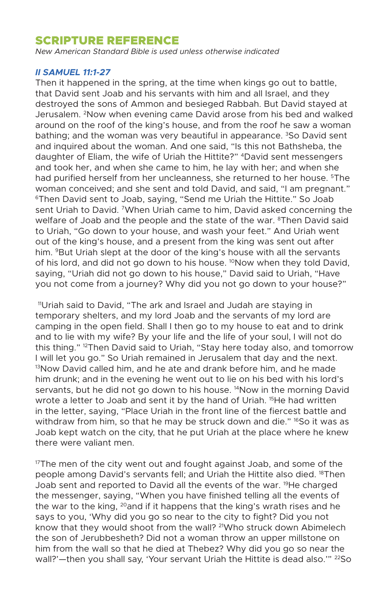# SCRIPTURE REFERENCE

*New American Standard Bible is used unless otherwise indicated* 

### *II SAMUEL 11:1-27*

Then it happened in the spring, at the time when kings go out to battle, that David sent Joab and his servants with him and all Israel, and they destroyed the sons of Ammon and besieged Rabbah. But David stayed at Jerusalem. 2Now when evening came David arose from his bed and walked around on the roof of the king's house, and from the roof he saw a woman bathing; and the woman was very beautiful in appearance. <sup>3</sup>So David sent and inquired about the woman. And one said, "Is this not Bathsheba, the daughter of Eliam, the wife of Uriah the Hittite?" 4David sent messengers and took her, and when she came to him, he lay with her; and when she had purified herself from her uncleanness, she returned to her house. <sup>5</sup>The woman conceived; and she sent and told David, and said, "I am pregnant." <sup>6</sup>Then David sent to Joab, saying, "Send me Uriah the Hittite." So Joab sent Uriah to David. 7When Uriah came to him, David asked concerning the welfare of Joab and the people and the state of the war. <sup>8</sup>Then David said to Uriah, "Go down to your house, and wash your feet." And Uriah went out of the king's house, and a present from the king was sent out after him. <sup>9</sup>But Uriah slept at the door of the king's house with all the servants of his lord, and did not go down to his house. <sup>10</sup>Now when they told David, saying, "Uriah did not go down to his house," David said to Uriah, "Have you not come from a journey? Why did you not go down to your house?"

11Uriah said to David, "The ark and Israel and Judah are staying in temporary shelters, and my lord Joab and the servants of my lord are camping in the open field. Shall I then go to my house to eat and to drink and to lie with my wife? By your life and the life of your soul, I will not do this thing." <sup>12</sup>Then David said to Uriah, "Stay here today also, and tomorrow I will let you go." So Uriah remained in Jerusalem that day and the next.  $13$ Now David called him, and he ate and drank before him, and he made him drunk; and in the evening he went out to lie on his bed with his lord's servants, but he did not go down to his house.<sup>14</sup>Now in the morning David wrote a letter to Joab and sent it by the hand of Uriah. <sup>15</sup>He had written in the letter, saying, "Place Uriah in the front line of the fiercest battle and withdraw from him, so that he may be struck down and die." <sup>16</sup>So it was as Joab kept watch on the city, that he put Uriah at the place where he knew there were valiant men.

 $17$ The men of the city went out and fought against Joab, and some of the people among David's servants fell; and Uriah the Hittite also died. 18Then Joab sent and reported to David all the events of the war. <sup>19</sup>He charged the messenger, saying, "When you have finished telling all the events of the war to the king,  $^{20}$  and if it happens that the king's wrath rises and he says to you, 'Why did you go so near to the city to fight? Did you not know that they would shoot from the wall? <sup>21</sup>Who struck down Abimelech the son of Jerubbesheth? Did not a woman throw an upper millstone on him from the wall so that he died at Thebez? Why did you go so near the wall?'-then you shall say, 'Your servant Uriah the Hittite is dead also.'" <sup>22</sup>So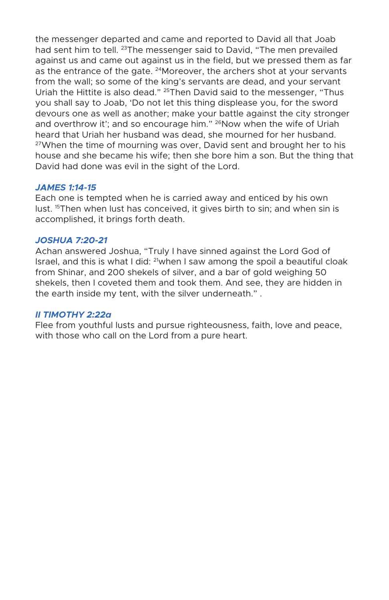the messenger departed and came and reported to David all that Joab had sent him to tell. <sup>23</sup>The messenger said to David, "The men prevailed against us and came out against us in the field, but we pressed them as far as the entrance of the gate. <sup>24</sup>Moreover, the archers shot at your servants from the wall; so some of the king's servants are dead, and your servant Uriah the Hittite is also dead." <sup>25</sup>Then David said to the messenger, "Thus you shall say to Joab, 'Do not let this thing displease you, for the sword devours one as well as another; make your battle against the city stronger and overthrow it'; and so encourage him." <sup>26</sup>Now when the wife of Uriah heard that Uriah her husband was dead, she mourned for her husband. <sup>27</sup>When the time of mourning was over, David sent and brought her to his house and she became his wife; then she bore him a son. But the thing that David had done was evil in the sight of the Lord.

### *JAMES 1:14-15*

Each one is tempted when he is carried away and enticed by his own lust. <sup>15</sup>Then when lust has conceived, it gives birth to sin; and when sin is accomplished, it brings forth death.

### *JOSHUA 7:20-21*

Achan answered Joshua, "Truly I have sinned against the Lord God of Israel, and this is what I did: 21when I saw among the spoil a beautiful cloak from Shinar, and 200 shekels of silver, and a bar of gold weighing 50 shekels, then I coveted them and took them. And see, they are hidden in the earth inside my tent, with the silver underneath." .

### *II TIMOTHY 2:22a*

Flee from youthful lusts and pursue righteousness, faith, love and peace, with those who call on the Lord from a pure heart.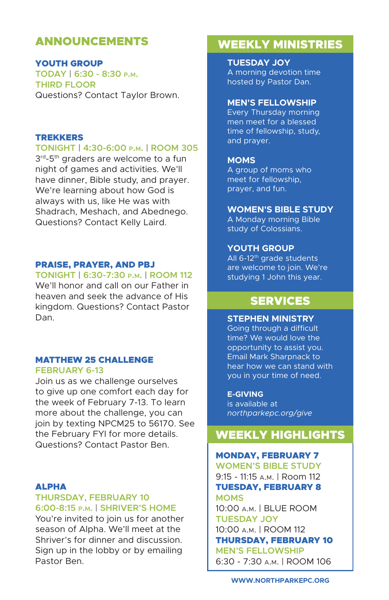# ANNOUNCEMENTS

YOUTH GROUP **TODAY | 6:30 - 8:30 p.m. THIRD FLOOR** Questions? Contact Taylor Brown.

### TREKKERS

### **TONIGHT | 4:30-6:00 p.m. | ROOM 305**

3<sup>rd</sup>-5<sup>th</sup> graders are welcome to a fun night of games and activities. We'll have dinner, Bible study, and prayer. We're learning about how God is always with us, like He was with Shadrach, Meshach, and Abednego. Questions? Contact Kelly Laird.

### PRAISE, PRAYER, AND PBJ

### **TONIGHT | 6:30-7:30 p.m. | ROOM 112**

We'll honor and call on our Father in heaven and seek the advance of His kingdom. Questions? Contact Pastor Dan.

#### MATTHEW 25 CHALLENGE **FEBRUARY 6-13**

Join us as we challenge ourselves to give up one comfort each day for the week of February 7-13. To learn more about the challenge, you can join by texting NPCM25 to 56170. See the February FYI for more details. Questions? Contact Pastor Ben.

### ALPHA

### **THURSDAY, FEBRUARY 10 6:00-8:15 p.m. | SHRIVER'S HOME**

You're invited to join us for another season of Alpha. We'll meet at the Shriver's for dinner and discussion. Sign up in the lobby or by emailing Pastor Ben.

# WEEKLY MINISTRIES

**TUESDAY JOY** A morning devotion time hosted by Pastor Dan.

#### **MEN'S FELLOWSHIP**

Every Thursday morning men meet for a blessed time of fellowship, study, and prayer.

#### **MOMS**

A group of moms who meet for fellowship, prayer, and fun.

#### **WOMEN'S BIBLE STUDY**

A Monday morning Bible study of Colossians.

### **YOUTH GROUP**

All  $6-12$ <sup>th</sup> grade students are welcome to join. We're studying 1 John this year.

# SERVICES

#### **STEPHEN MINISTRY**

Going through a difficult time? We would love the opportunity to assist you. Email Mark Sharpnack to hear how we can stand with you in your time of need.

#### **E-GIVING**

is available at *northparkepc.org/give*

# WEEKLY HIGHLIGHTS

### MONDAY, FEBRUARY 7

**WOMEN'S BIBLE STUDY** 9:15 - 11:15 a.m. | Room 112 TUESDAY, FEBRUARY 8 **MOMS** 10:00 a.m. | BLUE ROOM **TUESDAY JOY** 10:00 a.m. | ROOM 112 THURSDAY, FEBRUARY 10 **MEN'S FELLOWSHIP** 6:30 - 7:30 a.m. | ROOM 106